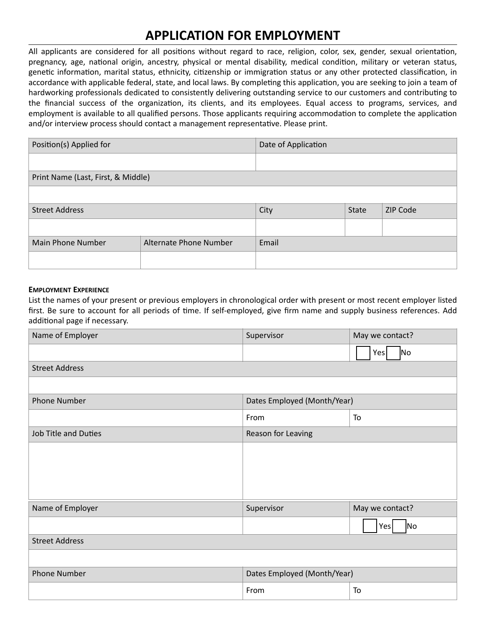# **APPLICATION FOR EMPLOYMENT**

All applicants are considered for all positions without regard to race, religion, color, sex, gender, sexual orientation, pregnancy, age, national origin, ancestry, physical or mental disability, medical condition, military or veteran status, genetic information, marital status, ethnicity, citizenship or immigration status or any other protected classification, in accordance with applicable federal, state, and local laws. By completing this application, you are seeking to join a team of hardworking professionals dedicated to consistently delivering outstanding service to our customers and contributing to the financial success of the organization, its clients, and its employees. Equal access to programs, services, and employment is available to all qualified persons. Those applicants requiring accommodation to complete the application and/or interview process should contact a management representative. Please print.

| Position(s) Applied for            |                        | Date of Application |              |          |  |
|------------------------------------|------------------------|---------------------|--------------|----------|--|
|                                    |                        |                     |              |          |  |
| Print Name (Last, First, & Middle) |                        |                     |              |          |  |
|                                    |                        |                     |              |          |  |
| <b>Street Address</b>              |                        | City                | <b>State</b> | ZIP Code |  |
|                                    |                        |                     |              |          |  |
| <b>Main Phone Number</b>           | Alternate Phone Number | Email               |              |          |  |
|                                    |                        |                     |              |          |  |

#### **EMPLOYMENT EXPERIENCE**

List the names of your present or previous employers in chronological order with present or most recent employer listed first. Be sure to account for all periods of time. If self-employed, give firm name and supply business references. Add additional page if necessary.

| Name of Employer      | May we contact?<br>Supervisor |                       |  |
|-----------------------|-------------------------------|-----------------------|--|
|                       |                               | No<br>Yes             |  |
| <b>Street Address</b> |                               |                       |  |
|                       |                               |                       |  |
| <b>Phone Number</b>   | Dates Employed (Month/Year)   |                       |  |
|                       | From<br>To                    |                       |  |
| Job Title and Duties  | Reason for Leaving            |                       |  |
|                       |                               |                       |  |
|                       |                               |                       |  |
|                       |                               |                       |  |
|                       |                               |                       |  |
| Name of Employer      | Supervisor                    | May we contact?       |  |
|                       |                               | N <sub>o</sub><br>Yes |  |
| <b>Street Address</b> |                               |                       |  |
|                       |                               |                       |  |
| <b>Phone Number</b>   | Dates Employed (Month/Year)   |                       |  |
|                       | From                          | To                    |  |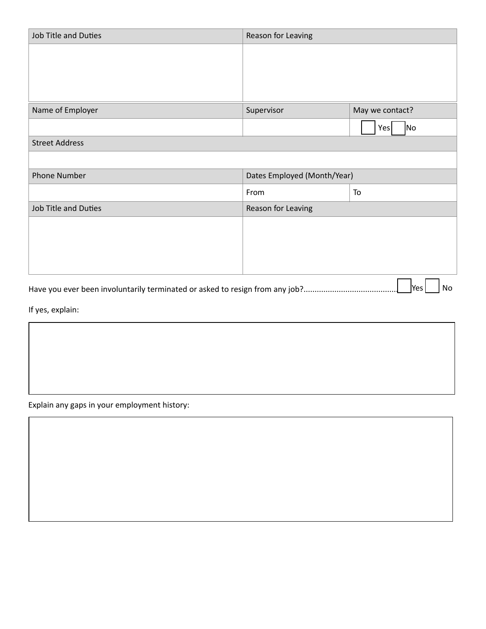| <b>Job Title and Duties</b>                                                               | Reason for Leaving          |                       |  |  |
|-------------------------------------------------------------------------------------------|-----------------------------|-----------------------|--|--|
|                                                                                           |                             |                       |  |  |
|                                                                                           |                             |                       |  |  |
|                                                                                           |                             |                       |  |  |
| Name of Employer                                                                          | Supervisor                  | May we contact?       |  |  |
|                                                                                           |                             | N <sub>o</sub><br>Yes |  |  |
| <b>Street Address</b>                                                                     |                             |                       |  |  |
|                                                                                           |                             |                       |  |  |
| <b>Phone Number</b>                                                                       | Dates Employed (Month/Year) |                       |  |  |
|                                                                                           | From<br>To                  |                       |  |  |
| Job Title and Duties                                                                      | Reason for Leaving          |                       |  |  |
|                                                                                           |                             |                       |  |  |
|                                                                                           |                             |                       |  |  |
|                                                                                           |                             |                       |  |  |
|                                                                                           |                             |                       |  |  |
| Yes<br>No<br>Have you ever been involuntarily terminated or asked to resign from any job? |                             |                       |  |  |

If yes, explain:

Explain any gaps in your employment history: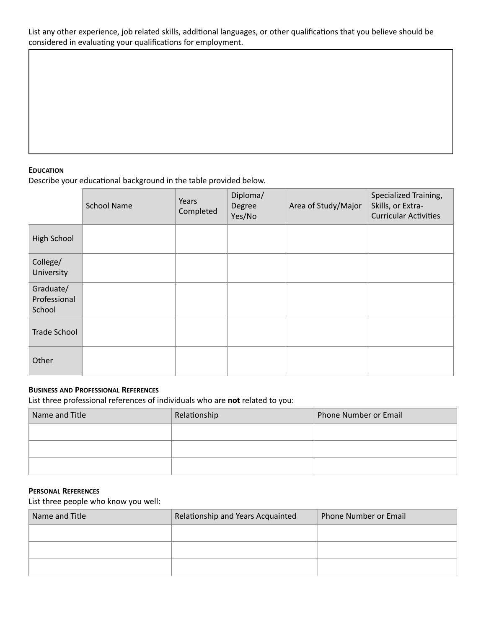List any other experience, job related skills, additional languages, or other qualifications that you believe should be considered in evaluating your qualifications for employment.

## **EDUCATION**

Describe your educational background in the table provided below.

|                                     | <b>School Name</b> | Years<br>Completed | Diploma/<br>Degree<br>Yes/No | Area of Study/Major | Specialized Training,<br>Skills, or Extra-<br><b>Curricular Activities</b> |
|-------------------------------------|--------------------|--------------------|------------------------------|---------------------|----------------------------------------------------------------------------|
| High School                         |                    |                    |                              |                     |                                                                            |
| College/<br>University              |                    |                    |                              |                     |                                                                            |
| Graduate/<br>Professional<br>School |                    |                    |                              |                     |                                                                            |
| <b>Trade School</b>                 |                    |                    |                              |                     |                                                                            |
| Other                               |                    |                    |                              |                     |                                                                            |

#### **BUSINESS AND PROFESSIONAL REFERENCES**

List three professional references of individuals who are **not** related to you:

| Name and Title | Relationship | Phone Number or Email |  |
|----------------|--------------|-----------------------|--|
|                |              |                       |  |
|                |              |                       |  |
|                |              |                       |  |

### **PERSONAL REFERENCES**

List three people who know you well:

| Name and Title | Relationship and Years Acquainted | Phone Number or Email |  |
|----------------|-----------------------------------|-----------------------|--|
|                |                                   |                       |  |
|                |                                   |                       |  |
|                |                                   |                       |  |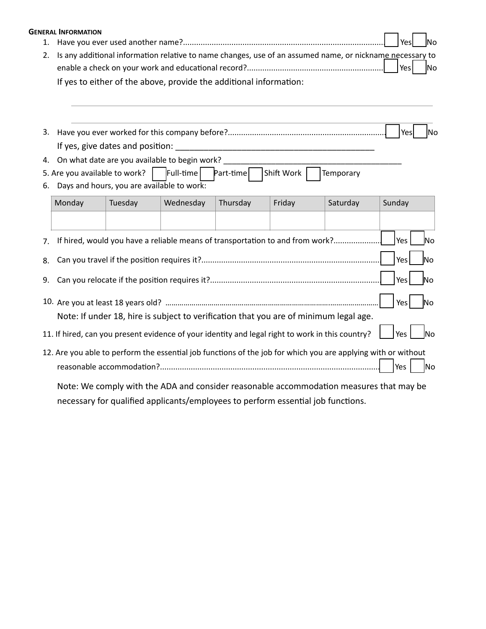|    | <b>GENERAL INFORMATION</b>                                                                               |                                               |                   |                                                                                                               |            |           |                  |
|----|----------------------------------------------------------------------------------------------------------|-----------------------------------------------|-------------------|---------------------------------------------------------------------------------------------------------------|------------|-----------|------------------|
| 1. |                                                                                                          | Yes<br>lΝo                                    |                   |                                                                                                               |            |           |                  |
| 2. | Is any additional information relative to name changes, use of an assumed name, or nickname necessary to |                                               |                   |                                                                                                               |            |           |                  |
|    |                                                                                                          |                                               |                   |                                                                                                               |            |           | Yes<br><b>No</b> |
|    |                                                                                                          |                                               |                   | If yes to either of the above, provide the additional information:                                            |            |           |                  |
|    |                                                                                                          |                                               |                   |                                                                                                               |            |           |                  |
|    |                                                                                                          |                                               |                   |                                                                                                               |            |           |                  |
| 3. |                                                                                                          |                                               |                   |                                                                                                               |            |           | Yes<br>lNo       |
|    |                                                                                                          | If yes, give dates and position:              |                   |                                                                                                               |            |           |                  |
| 4. |                                                                                                          | On what date are you available to begin work? |                   |                                                                                                               |            |           |                  |
|    | 5. Are you available to work?                                                                            |                                               | $\vert$ Full-time | Part-time                                                                                                     | Shift Work | Temporary |                  |
| 6. |                                                                                                          | Days and hours, you are available to work:    |                   |                                                                                                               |            |           |                  |
|    | Monday                                                                                                   | Tuesday                                       | Wednesday         | Thursday                                                                                                      | Friday     | Saturday  | Sunday           |
|    |                                                                                                          |                                               |                   |                                                                                                               |            |           |                  |
| 7. |                                                                                                          |                                               |                   | If hired, would you have a reliable means of transportation to and from work?                                 |            |           | Yes<br><b>No</b> |
| 8. |                                                                                                          |                                               |                   |                                                                                                               |            |           | Yes<br><b>No</b> |
| 9. |                                                                                                          |                                               |                   |                                                                                                               |            |           | Yes<br><b>No</b> |
|    |                                                                                                          |                                               |                   |                                                                                                               |            |           | Yes<br><b>No</b> |
|    |                                                                                                          |                                               |                   | Note: If under 18, hire is subject to verification that you are of minimum legal age.                         |            |           |                  |
|    |                                                                                                          |                                               |                   | 11. If hired, can you present evidence of your identity and legal right to work in this country?              |            |           | Yes<br>lNo       |
|    |                                                                                                          |                                               |                   | 12. Are you able to perform the essential job functions of the job for which you are applying with or without |            |           |                  |
|    | Yes<br>No                                                                                                |                                               |                   |                                                                                                               |            |           |                  |
|    | Note: We comply with the ADA and consider reasonable accommodation measures that may be                  |                                               |                   |                                                                                                               |            |           |                  |

necessary for qualified applicants/employees to perform essential job functions.